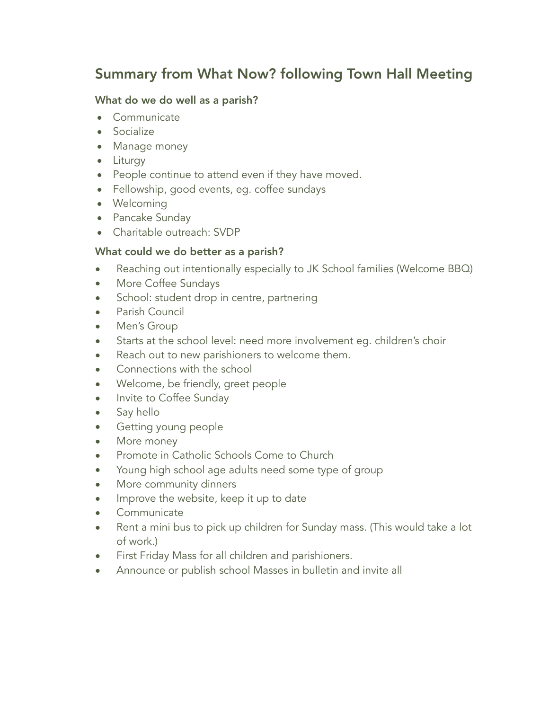# Summary from What Now? following Town Hall Meeting

#### What do we do well as a parish?

- Communicate
- Socialize
- Manage money
- Liturgy
- People continue to attend even if they have moved.
- Fellowship, good events, eg. coffee sundays
- Welcoming
- Pancake Sunday
- Charitable outreach: SVDP

## What could we do better as a parish?

- Reaching out intentionally especially to JK School families (Welcome BBQ)
- More Coffee Sundays
- School: student drop in centre, partnering
- Parish Council
- Men's Group
- Starts at the school level: need more involvement eg. children's choir
- Reach out to new parishioners to welcome them.
- Connections with the school
- Welcome, be friendly, greet people
- Invite to Coffee Sunday
- Say hello
- Getting young people
- More money
- Promote in Catholic Schools Come to Church
- Young high school age adults need some type of group
- More community dinners
- Improve the website, keep it up to date
- Communicate
- Rent a mini bus to pick up children for Sunday mass. (This would take a lot of work.)
- First Friday Mass for all children and parishioners.
- Announce or publish school Masses in bulletin and invite all